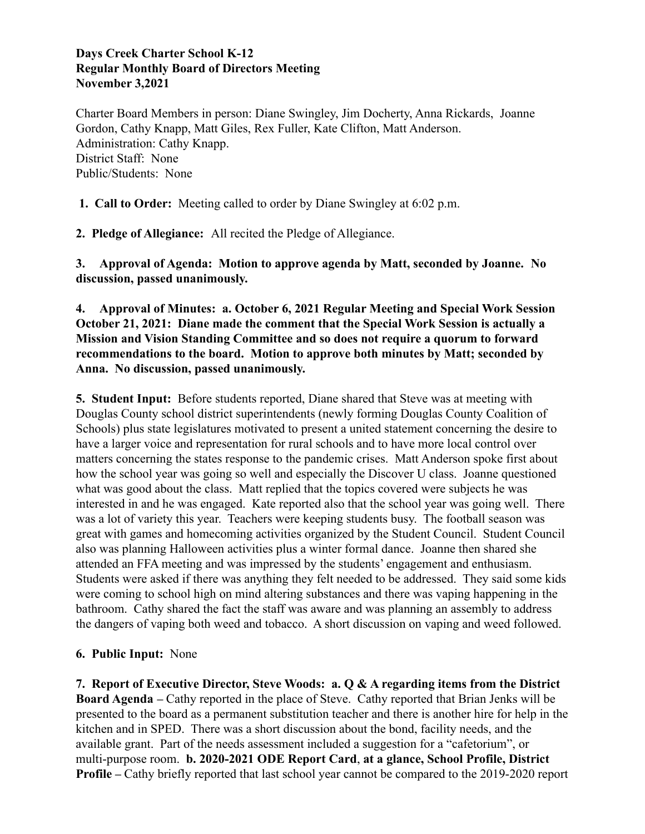#### **Days Creek Charter School K-12 Regular Monthly Board of Directors Meeting November 3,2021**

Charter Board Members in person: Diane Swingley, Jim Docherty, Anna Rickards, Joanne Gordon, Cathy Knapp, Matt Giles, Rex Fuller, Kate Clifton, Matt Anderson. Administration: Cathy Knapp. District Staff: None Public/Students: None

**1. Call to Order:** Meeting called to order by Diane Swingley at 6:02 p.m.

**2. Pledge of Allegiance:** All recited the Pledge of Allegiance.

**3. Approval of Agenda: Motion to approve agenda by Matt, seconded by Joanne. No discussion, passed unanimously.**

### **4. Approval of Minutes: a. October 6, 2021 Regular Meeting and Special Work Session October 21, 2021: Diane made the comment that the Special Work Session is actually a Mission and Vision Standing Committee and so does not require a quorum to forward recommendations to the board. Motion to approve both minutes by Matt; seconded by Anna. No discussion, passed unanimously.**

**5. Student Input:** Before students reported, Diane shared that Steve was at meeting with Douglas County school district superintendents (newly forming Douglas County Coalition of Schools) plus state legislatures motivated to present a united statement concerning the desire to have a larger voice and representation for rural schools and to have more local control over matters concerning the states response to the pandemic crises. Matt Anderson spoke first about how the school year was going so well and especially the Discover U class. Joanne questioned what was good about the class. Matt replied that the topics covered were subjects he was interested in and he was engaged. Kate reported also that the school year was going well. There was a lot of variety this year. Teachers were keeping students busy. The football season was great with games and homecoming activities organized by the Student Council. Student Council also was planning Halloween activities plus a winter formal dance. Joanne then shared she attended an FFA meeting and was impressed by the students' engagement and enthusiasm. Students were asked if there was anything they felt needed to be addressed. They said some kids were coming to school high on mind altering substances and there was vaping happening in the bathroom. Cathy shared the fact the staff was aware and was planning an assembly to address the dangers of vaping both weed and tobacco. A short discussion on vaping and weed followed.

## **6. Public Input:** None

**7. Report of Executive Director, Steve Woods: a. Q & A regarding items from the District Board Agenda –** Cathy reported in the place of Steve. Cathy reported that Brian Jenks will be presented to the board as a permanent substitution teacher and there is another hire for help in the kitchen and in SPED. There was a short discussion about the bond, facility needs, and the available grant. Part of the needs assessment included a suggestion for a "cafetorium", or multi-purpose room. **b. 2020-2021 ODE Report Card**, **at a glance, School Profile, District Profile** – Cathy briefly reported that last school year cannot be compared to the 2019-2020 report